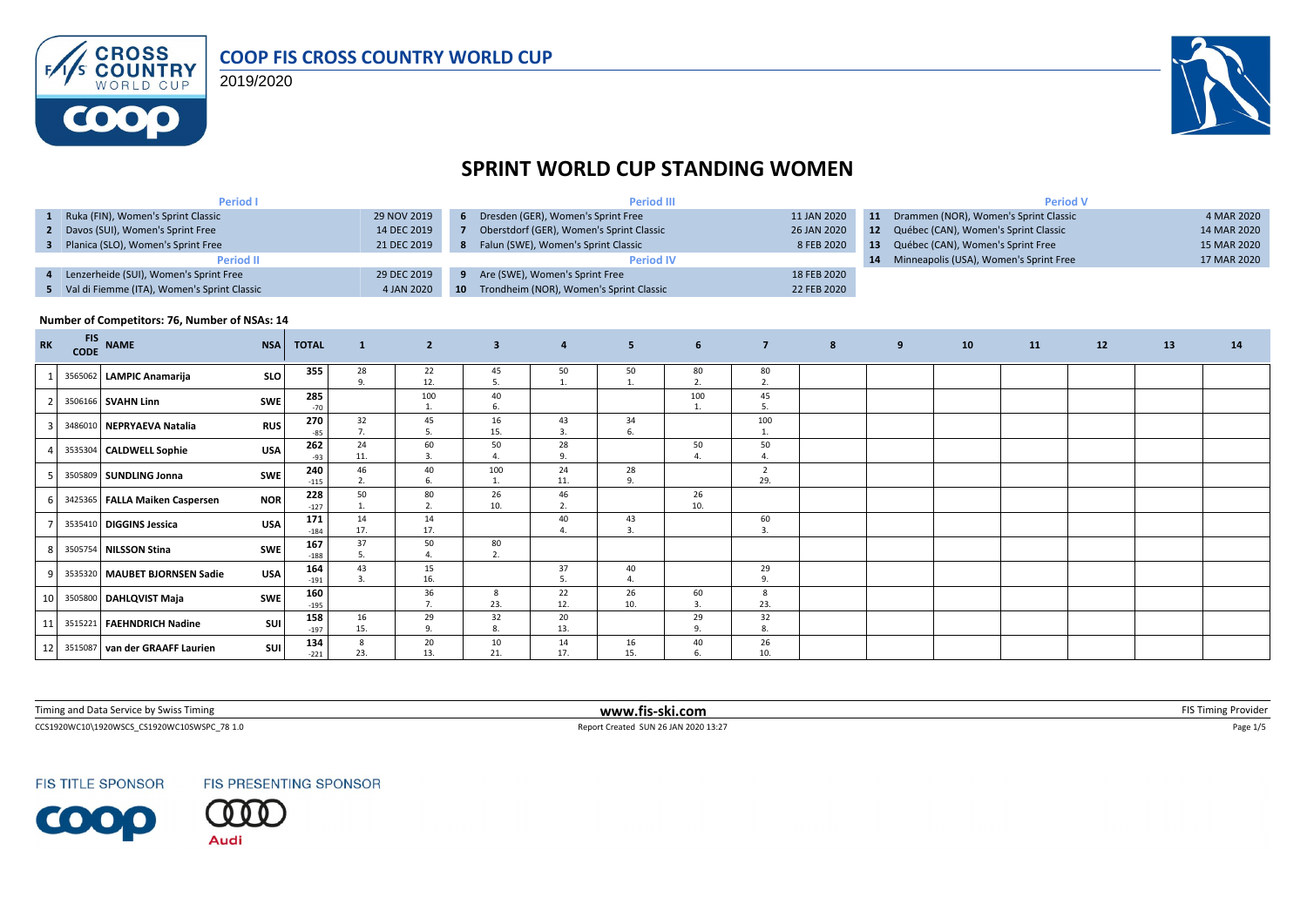

2019/2020



# **SPRINT WORLD CUP STANDING WOMEN**

| Period I                                      |             | <b>Period III</b>                          |             | <b>Period V</b> |                                                      |             |  |  |  |
|-----------------------------------------------|-------------|--------------------------------------------|-------------|-----------------|------------------------------------------------------|-------------|--|--|--|
| 1 Ruka (FIN), Women's Sprint Classic          | 29 NOV 2019 | 6 Dresden (GER), Women's Sprint Free       |             |                 | 11 JAN 2020 11 Drammen (NOR), Women's Sprint Classic | 4 MAR 2020  |  |  |  |
| 2 Davos (SUI), Women's Sprint Free            | 14 DEC 2019 | Oberstdorf (GER), Women's Sprint Classic   |             |                 | 26 JAN 2020 12 Québec (CAN), Women's Sprint Classic  | 14 MAR 2020 |  |  |  |
| 3 Planica (SLO), Women's Sprint Free          | 21 DEC 2019 | 8 Falun (SWE), Women's Sprint Classic      | 8 FEB 2020  |                 | 13 Québec (CAN), Women's Sprint Free                 | 15 MAR 2020 |  |  |  |
| <b>Period II</b>                              |             | <b>Period IV</b>                           |             |                 | 14 Minneapolis (USA), Women's Sprint Free            | 17 MAR 2020 |  |  |  |
| 4 Lenzerheide (SUI), Women's Sprint Free      | 29 DEC 2019 | 9 Are (SWE), Women's Sprint Free           | 18 FEB 2020 |                 |                                                      |             |  |  |  |
| 5 Val di Fiemme (ITA), Women's Sprint Classic | 4 JAN 2020  | 10 Trondheim (NOR), Women's Sprint Classic | 22 FEB 2020 |                 |                                                      |             |  |  |  |

#### **Number of Competitors: 76, Number of NSAs: 14**

| <b>RK</b> | <b>FIS</b> | CODE NAME                      | <b>NSA</b> | <b>TOTAL</b>  | $\mathbf{1}$ | $\overline{2}$       | $\overline{\mathbf{3}}$ | $\overline{4}$               | 5 <sub>1</sub> | 6         | $\overline{7}$      | 8 | 9 | 10 | 11 | 12 | 13 | 14 |
|-----------|------------|--------------------------------|------------|---------------|--------------|----------------------|-------------------------|------------------------------|----------------|-----------|---------------------|---|---|----|----|----|----|----|
|           |            | 3565062 LAMPIC Anamarija       | <b>SLO</b> | 355           | 28<br>9.     | 22<br>12.            | 45                      | 50                           | 50             | 80        | 80<br>2.            |   |   |    |    |    |    |    |
|           |            | 3506166 SVAHN Linn             | <b>SWE</b> | 285<br>$-70$  |              | 100                  | 40                      |                              |                | 100       | 45                  |   |   |    |    |    |    |    |
|           |            | 3486010 NEPRYAEVA Natalia      | <b>RUS</b> | 270<br>$-85$  | 32<br>7.     | 45                   | 16<br>15.               | 43<br>$\overline{3}$         | 34<br>6.       |           | 100<br>1.           |   |   |    |    |    |    |    |
|           |            | 3535304 CALDWELL Sophie        | <b>USA</b> | 262<br>$-93$  | 24<br>11.    | 60                   | 50                      | 28<br>9.                     |                | 50        | 50                  |   |   |    |    |    |    |    |
|           |            | 3505809 SUNDLING Jonna         | <b>SWE</b> | 240<br>$-115$ | 46<br>2.     | 40                   | 100                     | 24<br>11.                    | 28<br>9.       |           | $\mathbf{a}$<br>29. |   |   |    |    |    |    |    |
|           |            | 3425365 FALLA Maiken Caspersen | <b>NOR</b> | 228<br>$-127$ | 50           | 80                   | 26<br>10.               | 46<br>$\mathbf{r}$           |                | 26<br>10. |                     |   |   |    |    |    |    |    |
|           |            | 3535410 DIGGINS Jessica        | USA        | 171<br>$-184$ | 14<br>17.    | 14<br>17.            |                         | 40<br>$\boldsymbol{\Lambda}$ | 43<br>3.       |           | 60<br>3.            |   |   |    |    |    |    |    |
| -8        |            | 3505754 NILSSON Stina          | SWE        | 167<br>$-188$ | 37<br>5.     | 50                   | 80<br>$\overline{2}$    |                              |                |           |                     |   |   |    |    |    |    |    |
| q         |            | 3535320 MAUBET BJORNSEN Sadie  | <b>USA</b> | 164<br>$-191$ | 43<br>3.     | 15<br>16.            |                         | 37<br>5.                     | 40             |           | 29<br>9.            |   |   |    |    |    |    |    |
| 10        |            | 3505800 DAHLQVIST Maja         | <b>SWE</b> | 160<br>$-195$ |              | 36<br>$\overline{ }$ | 8<br>23.                | 22<br>12.                    | 26<br>10.      | 60<br>3.  | 8<br>23.            |   |   |    |    |    |    |    |
| 11        |            | 3515221 FAEHNDRICH Nadine      | SUI        | 158<br>$-197$ | 16<br>15.    | 29                   | 32                      | 20<br>13.                    |                | 29<br>9.  | 32                  |   |   |    |    |    |    |    |
| 12        |            | 3515087 van der GRAAFF Laurien | SUI        | 134<br>$-221$ | 23.          | 20<br>13.            | 10<br>21.               | 14<br>17.                    | 16<br>15.      | 40<br>6.  | 26<br>10.           |   |   |    |    |    |    |    |

| Timing and Data Service by Swiss Timing     | www.fis-ski.com                      | <b>FIS Timing Provider</b> |
|---------------------------------------------|--------------------------------------|----------------------------|
| CCS1920WC10\1920WSCS CS1920WC10SWSPC 78 1.0 | Report Created SUN 26 JAN 2020 13:27 | Page $1/5$                 |

**FIS TITLE SPONSOR** 



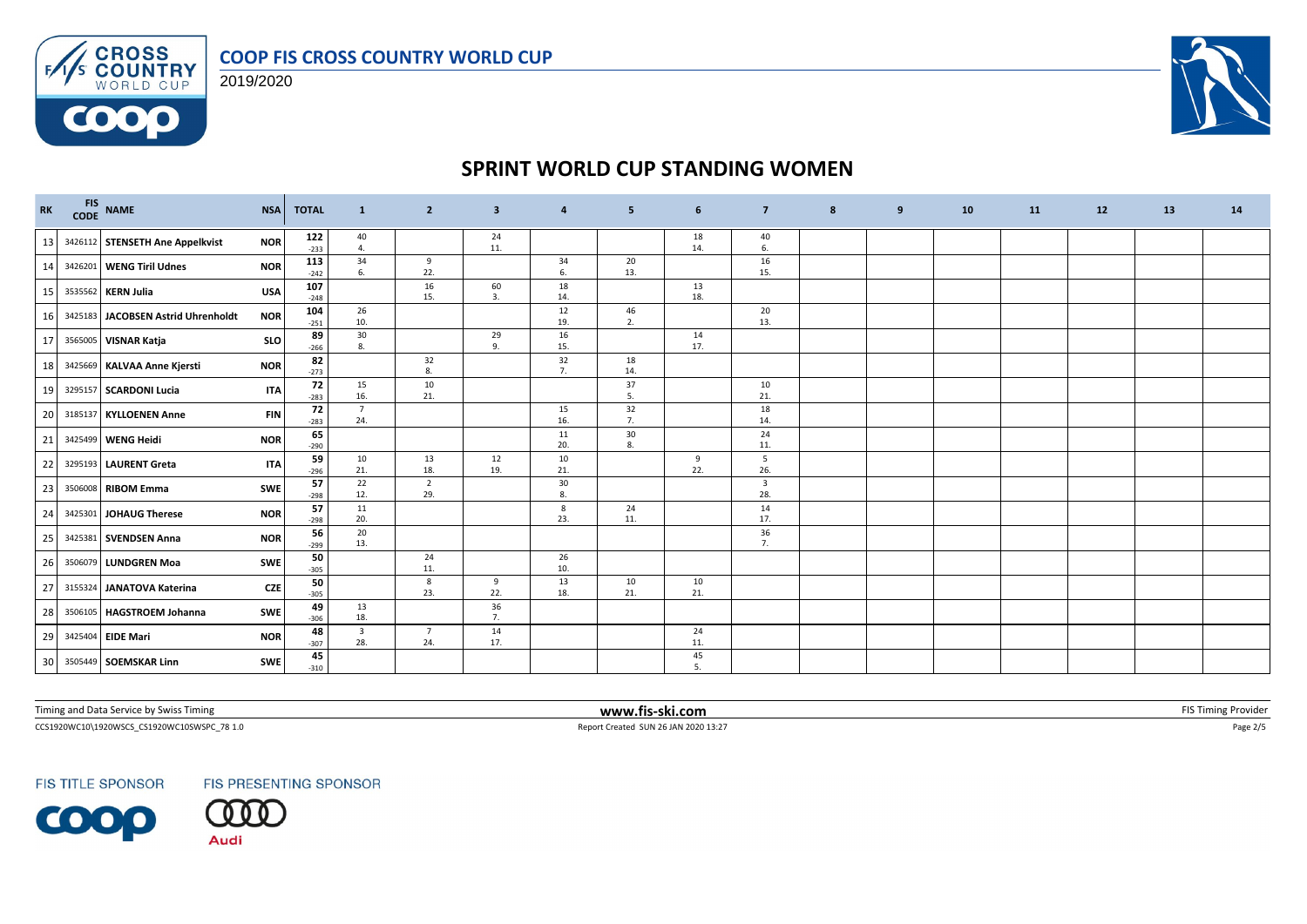

 $F/1/s$ 

**COOO** 



## **SPRINT WORLD CUP STANDING WOMEN**

| RK              | CODE    | FIS NAME                        | <b>NSA</b> | <b>TOTAL</b>  | $\mathbf{1}$                   | $\overline{2}$        | 3         | 4         | 5.        | 6         | $\overline{7}$                 | 8 | 9 | 10 | 11 | 12 | 13 | 14 |
|-----------------|---------|---------------------------------|------------|---------------|--------------------------------|-----------------------|-----------|-----------|-----------|-----------|--------------------------------|---|---|----|----|----|----|----|
| 13              |         | 3426112 STENSETH Ane Appelkvist | <b>NOR</b> | 122<br>$-233$ | 40<br>4.                       |                       | 24<br>11. |           |           | 18<br>14. | 40<br>6.                       |   |   |    |    |    |    |    |
| 14              |         | 3426201 WENG Tiril Udnes        | <b>NOR</b> | 113<br>$-242$ | 34<br>6.                       | 9<br>22.              |           | 34<br>6.  | 20<br>13. |           | 16<br>15.                      |   |   |    |    |    |    |    |
| 15              |         | 3535562 KERN Julia              | <b>USA</b> | 107<br>$-248$ |                                | 16<br>15.             | 60<br>3.  | 18<br>14. |           | 13<br>18. |                                |   |   |    |    |    |    |    |
| 16              | 3425183 | JACOBSEN Astrid Uhrenholdt      | <b>NOR</b> | 104<br>$-251$ | 26<br>10.                      |                       |           | 12<br>19. | 46<br>2.  |           | 20<br>13.                      |   |   |    |    |    |    |    |
| 17              |         | 3565005 VISNAR Katja            | <b>SLO</b> | 89<br>$-266$  | 30<br>8.                       |                       | 29<br>9.  | 16<br>15. |           | 14<br>17. |                                |   |   |    |    |    |    |    |
| 18              |         | 3425669 KALVAA Anne Kjersti     | <b>NOR</b> | 82<br>$-273$  |                                | 32<br>8.              |           | 32<br>7.  | 18<br>14. |           |                                |   |   |    |    |    |    |    |
| 19              | 3295157 | <b>SCARDONI Lucia</b>           | <b>ITA</b> | 72<br>$-283$  | 15<br>16.                      | 10<br>21.             |           |           | 37<br>5.  |           | 10<br>21.                      |   |   |    |    |    |    |    |
| 20              |         | 3185137 KYLLOENEN Anne          | <b>FIN</b> | 72<br>$-283$  | $\overline{7}$<br>24.          |                       |           | 15<br>16. | 32<br>7.  |           | 18<br>14.                      |   |   |    |    |    |    |    |
| 21              |         | 3425499 WENG Heidi              | <b>NOR</b> | 65<br>$-290$  |                                |                       |           | 11<br>20. | 30<br>8.  |           | 24<br>11.                      |   |   |    |    |    |    |    |
| 22              |         | 3295193   LAURENT Greta         | <b>ITA</b> | 59<br>$-296$  | 10<br>21.                      | 13<br>18.             | 12<br>19. | 10<br>21. |           | 9<br>22.  | 5<br>26.                       |   |   |    |    |    |    |    |
| 23              |         | 3506008 RIBOM Emma              | <b>SWE</b> | 57<br>$-298$  | 22<br>12.                      | $\overline{2}$<br>29. |           | 30<br>8.  |           |           | $\overline{\mathbf{3}}$<br>28. |   |   |    |    |    |    |    |
| 24              |         | 3425301 JOHAUG Therese          | <b>NOR</b> | 57<br>$-298$  | 11<br>20.                      |                       |           | 8<br>23.  | 24<br>11. |           | 14<br>17.                      |   |   |    |    |    |    |    |
| 25              |         | 3425381 SVENDSEN Anna           | <b>NOR</b> | 56<br>$-299$  | 20<br>13.                      |                       |           |           |           |           | 36<br>7.                       |   |   |    |    |    |    |    |
| 26              | 3506079 | <b>LUNDGREN Moa</b>             | SWE        | 50<br>$-305$  |                                | 24<br>11.             |           | 26<br>10. |           |           |                                |   |   |    |    |    |    |    |
| 27              |         | 3155324 JANATOVA Katerina       | <b>CZE</b> | 50<br>$-305$  |                                | 8<br>23.              | 9<br>22.  | 13<br>18. | 10<br>21. | 10<br>21. |                                |   |   |    |    |    |    |    |
| 28              |         | 3506105 HAGSTROEM Johanna       | <b>SWE</b> | 49<br>$-306$  | 13<br>18.                      |                       | 36<br>7.  |           |           |           |                                |   |   |    |    |    |    |    |
| 29              |         | 3425404 EIDE Mari               | <b>NOR</b> | 48<br>$-307$  | $\overline{\mathbf{3}}$<br>28. | $\overline{7}$<br>24. | 14<br>17. |           |           | 24<br>11. |                                |   |   |    |    |    |    |    |
| 30 <sup>1</sup> |         | 3505449 SOEMSKAR Linn           | SWE        | 45<br>$-310$  |                                |                       |           |           |           | 45<br>5.  |                                |   |   |    |    |    |    |    |

Timing and Data Service by Swiss Timing **EXTIMING 2008 WWW.fis-ski.com WWW.fis-ski.com** FIS Timing Provider

CCS1920WC10\1920WSCS\_CS1920WC10SWSPC\_78 1.0 Report Created SUN 26 JAN 2020 13:27 Page 2/5

**FIS TITLE SPONSOR** 

FIS PRESENTING SPONSOR



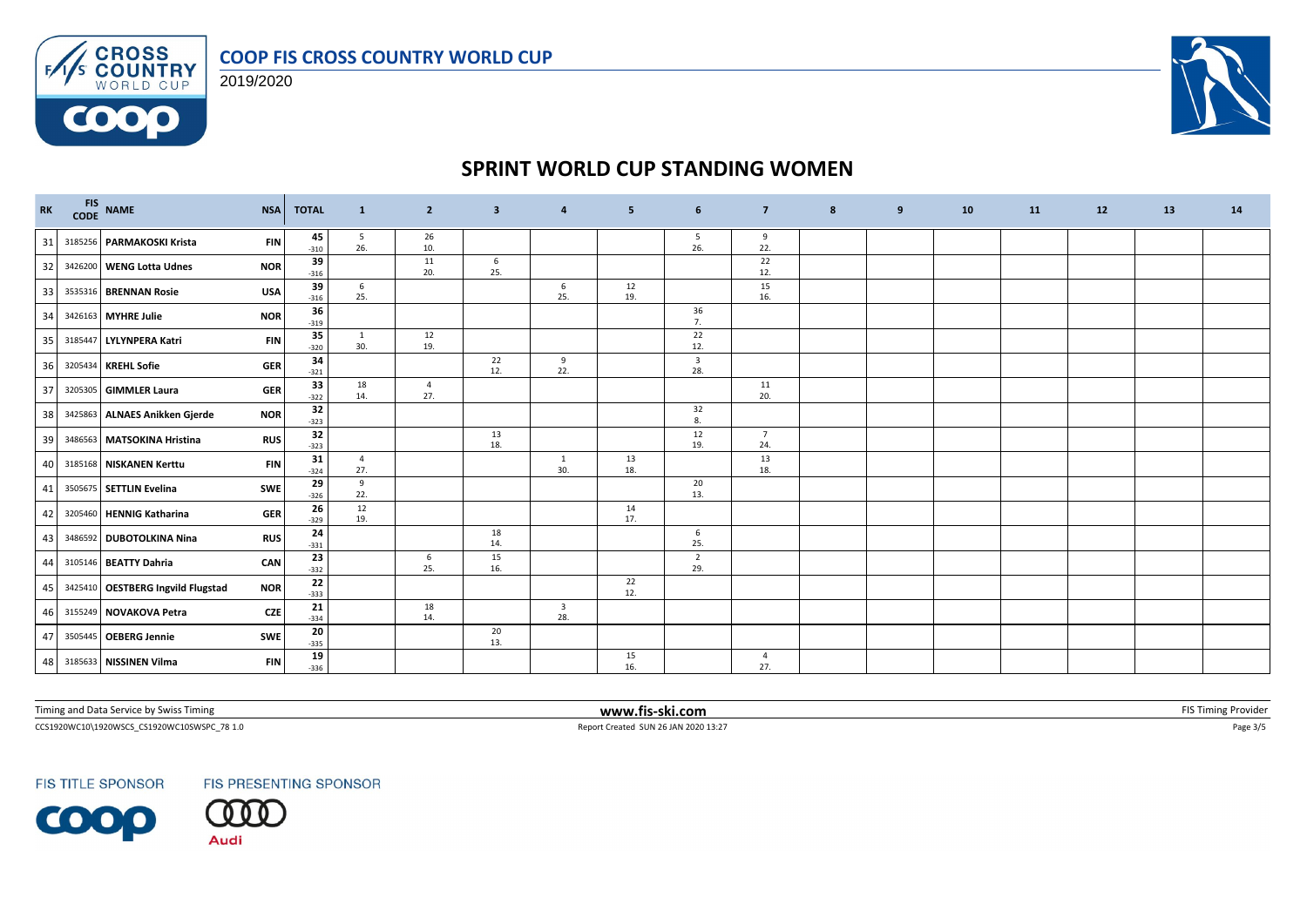

 $F/1/s$ 

**COOO** 



# **SPRINT WORLD CUP STANDING WOMEN**

| RK |         | FIS NAME                          | <b>NSA</b> | <b>TOTAL</b> | $\mathbf{1}$          | $\overline{2}$        | $\overline{\mathbf{3}}$ | 4                              | 5         | 6                              | $\overline{7}$        | 8 | 9 | 10 | 11 | 12 | 13 | 14 |
|----|---------|-----------------------------------|------------|--------------|-----------------------|-----------------------|-------------------------|--------------------------------|-----------|--------------------------------|-----------------------|---|---|----|----|----|----|----|
| 31 |         | 3185256 PARMAKOSKI Krista         | <b>FIN</b> | 45<br>$-310$ | 5<br>26.              | 26<br>10.             |                         |                                |           | 5<br>26.                       | 9<br>22.              |   |   |    |    |    |    |    |
| 32 |         | 3426200 WENG Lotta Udnes          | <b>NOR</b> | 39<br>$-316$ |                       | 11<br>20.             | 6<br>25.                |                                |           |                                | 22<br>12.             |   |   |    |    |    |    |    |
| 33 |         | 3535316 BRENNAN Rosie             | <b>USA</b> | 39<br>$-316$ | 6<br>25.              |                       |                         | 6<br>25.                       | 12<br>19. |                                | 15<br>16.             |   |   |    |    |    |    |    |
| 34 |         | 3426163 MYHRE Julie               | <b>NOR</b> | 36<br>$-319$ |                       |                       |                         |                                |           | 36<br>7.                       |                       |   |   |    |    |    |    |    |
| 35 | 3185447 | LYLYNPERA Katri                   | <b>FIN</b> | 35<br>$-320$ | 1<br>30.              | 12<br>19.             |                         |                                |           | 22<br>12.                      |                       |   |   |    |    |    |    |    |
| 36 |         | 3205434 KREHL Sofie               | <b>GER</b> | 34<br>$-321$ |                       |                       | 22<br>12.               | 9<br>22.                       |           | $\overline{\mathbf{3}}$<br>28. |                       |   |   |    |    |    |    |    |
| 37 |         | 3205305 GIMMLER Laura             | <b>GER</b> | 33<br>$-322$ | 18<br>14.             | $\overline{4}$<br>27. |                         |                                |           |                                | 11<br>20.             |   |   |    |    |    |    |    |
| 38 |         | 3425863 ALNAES Anikken Gjerde     | <b>NOR</b> | 32<br>$-323$ |                       |                       |                         |                                |           | 32<br>8.                       |                       |   |   |    |    |    |    |    |
| 39 |         | 3486563 MATSOKINA Hristina        | <b>RUS</b> | 32<br>$-323$ |                       |                       | 13<br>18.               |                                |           | 12<br>19.                      | $\overline{7}$<br>24. |   |   |    |    |    |    |    |
| 40 |         | 3185168 NISKANEN Kerttu           | <b>FIN</b> | 31<br>$-324$ | $\overline{4}$<br>27. |                       |                         | 1<br>30.                       | 13<br>18. |                                | 13<br>18.             |   |   |    |    |    |    |    |
| 41 |         | 3505675 SETTLIN Evelina           | SWE        | 29<br>$-326$ | 9<br>22.              |                       |                         |                                |           | 20<br>13.                      |                       |   |   |    |    |    |    |    |
| 42 |         | 3205460 HENNIG Katharina          | <b>GER</b> | 26<br>$-329$ | 12<br>19.             |                       |                         |                                | 14<br>17. |                                |                       |   |   |    |    |    |    |    |
| 43 |         | 3486592 DUBOTOLKINA Nina          | <b>RUS</b> | 24<br>$-331$ |                       |                       | 18<br>14.               |                                |           | 6<br>25.                       |                       |   |   |    |    |    |    |    |
| 44 |         | 3105146 BEATTY Dahria             | CAN        | 23<br>$-332$ |                       | 6<br>25.              | 15<br>16.               |                                |           | $\overline{2}$<br>29.          |                       |   |   |    |    |    |    |    |
| 45 |         | 3425410 OESTBERG Ingvild Flugstad | <b>NOR</b> | 22<br>$-333$ |                       |                       |                         |                                | 22<br>12. |                                |                       |   |   |    |    |    |    |    |
| 46 |         | 3155249 NOVAKOVA Petra            | CZE        | 21<br>$-334$ |                       | 18<br>14.             |                         | $\overline{\mathbf{3}}$<br>28. |           |                                |                       |   |   |    |    |    |    |    |
| 47 |         | 3505445 OEBERG Jennie             | <b>SWE</b> | 20<br>$-335$ |                       |                       | 20<br>13.               |                                |           |                                |                       |   |   |    |    |    |    |    |
|    |         | 48 3185633 NISSINEN Vilma         | <b>FIN</b> | 19<br>$-336$ |                       |                       |                         |                                | 15<br>16. |                                | $\overline{4}$<br>27. |   |   |    |    |    |    |    |

Timing and Data Service by Swiss Timing **EXTIMING 2008 WWW.fis-ski.com WWW.fis-ski.com** FIS Timing Provider

CCS1920WC10\1920WSCS\_CS1920WC10SWSPC\_78 1.0 Report Created SUN 26 JAN 2020 13:27 Page 3/5

**FIS TITLE SPONSOR** 

FIS PRESENTING SPONSOR

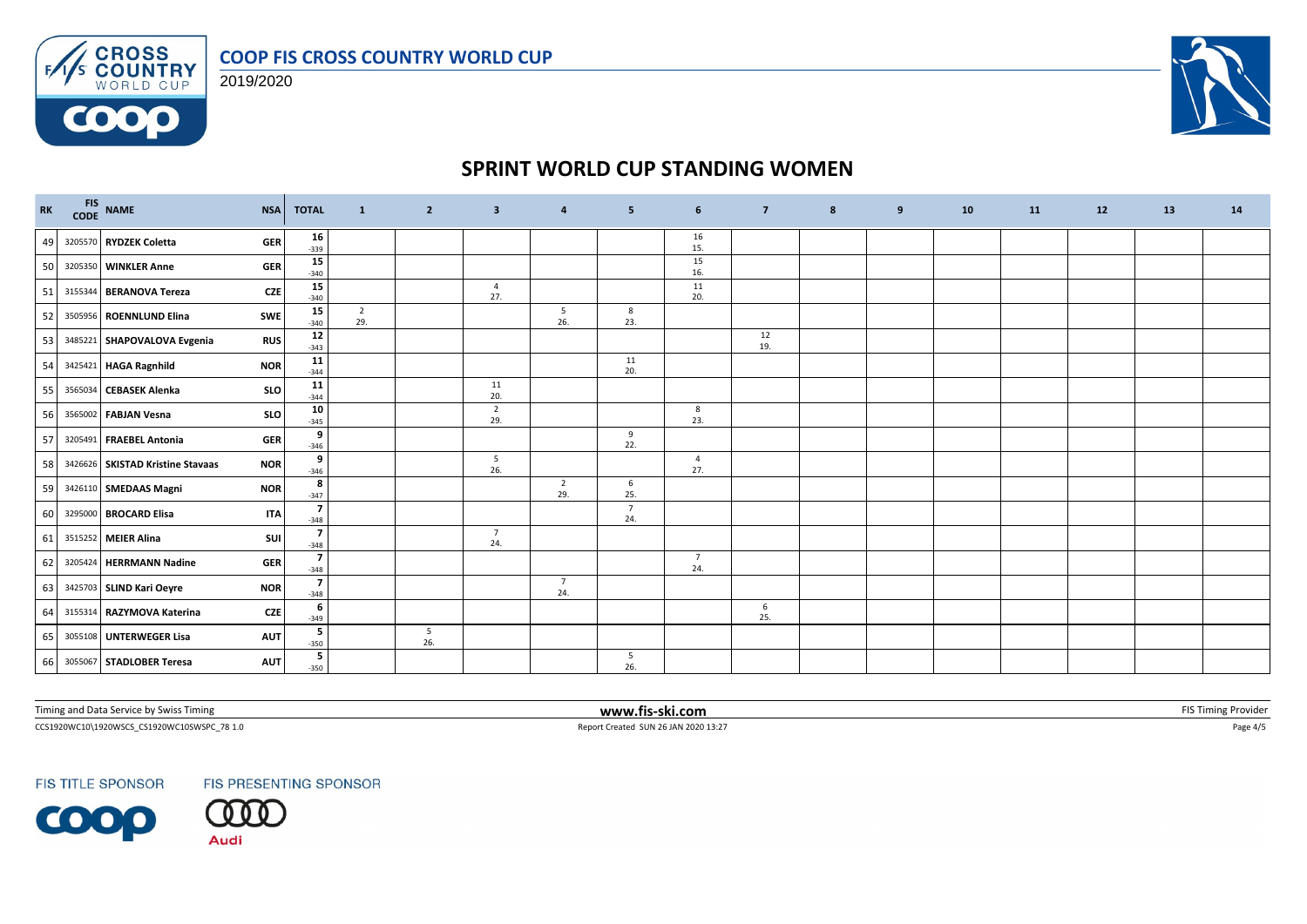

 $F/1/s$ 

**COOO** 



## **SPRINT WORLD CUP STANDING WOMEN**

| RK | FIS NAME<br>CODE NAME            | <b>NSA</b> | <b>TOTAL</b>                      | <sup>1</sup>          | $\overline{2}$ | $\overline{\mathbf{3}}$ | $\boldsymbol{4}$      | 5                      | 6                     | $\overline{7}$ | 8 | 9 | 10 | <b>11</b> | 12 | 13 | 14 |
|----|----------------------------------|------------|-----------------------------------|-----------------------|----------------|-------------------------|-----------------------|------------------------|-----------------------|----------------|---|---|----|-----------|----|----|----|
| 49 | 3205570 RYDZEK Coletta           | <b>GER</b> | 16<br>$-339$                      |                       |                |                         |                       |                        | 16<br>15.             |                |   |   |    |           |    |    |    |
| 50 | 3205350 WINKLER Anne             | <b>GER</b> | 15<br>$-340$                      |                       |                |                         |                       |                        | 15<br>16.             |                |   |   |    |           |    |    |    |
| 51 | 3155344 BERANOVA Tereza          | CZE        | 15<br>$-340$                      |                       |                | $\overline{4}$<br>27.   |                       |                        | 11<br>20.             |                |   |   |    |           |    |    |    |
| 52 | 3505956 ROENNLUND Elina          | SWE        | 15<br>$-340$                      | $\overline{2}$<br>29. |                |                         | 5<br>26.              | 8<br>23.               |                       |                |   |   |    |           |    |    |    |
| 53 | 3485221 SHAPOVALOVA Evgenia      | <b>RUS</b> | 12<br>$-343$                      |                       |                |                         |                       |                        |                       | 12<br>19.      |   |   |    |           |    |    |    |
| 54 | 3425421 HAGA Ragnhild            | <b>NOR</b> | 11<br>$-344$                      |                       |                |                         |                       | 11<br>20.              |                       |                |   |   |    |           |    |    |    |
| 55 | 3565034 CEBASEK Alenka           | SLO        | 11<br>$-344$                      |                       |                | 11<br>20.               |                       |                        |                       |                |   |   |    |           |    |    |    |
| 56 | 3565002 FABJAN Vesna             | <b>SLO</b> | 10<br>$-345$                      |                       |                | $\overline{2}$<br>29.   |                       |                        | 8<br>23.              |                |   |   |    |           |    |    |    |
| 57 | 3205491 FRAEBEL Antonia          | <b>GER</b> | 9<br>$-346$                       |                       |                |                         |                       | 9<br>22.               |                       |                |   |   |    |           |    |    |    |
| 58 | 3426626 SKISTAD Kristine Stavaas | <b>NOR</b> | 9<br>$-346$                       |                       |                | 5<br>26.                |                       |                        | $\overline{4}$<br>27. |                |   |   |    |           |    |    |    |
| 59 | 3426110 SMEDAAS Magni            | <b>NOR</b> | 8<br>$-347$                       |                       |                |                         | $\overline{2}$<br>29. | 6<br>25.               |                       |                |   |   |    |           |    |    |    |
| 60 | 3295000 BROCARD Elisa            | <b>ITA</b> | $\overline{7}$<br>$-348$          |                       |                |                         |                       | $\overline{7}$<br>24.  |                       |                |   |   |    |           |    |    |    |
| 61 | 3515252 MEIER Alina              | SUI        | $\overline{\mathbf{z}}$<br>$-348$ |                       |                | $\overline{7}$<br>24.   |                       |                        |                       |                |   |   |    |           |    |    |    |
| 62 | 3205424 HERRMANN Nadine          | <b>GER</b> | $\overline{\mathbf{z}}$<br>$-348$ |                       |                |                         |                       |                        | $\overline{7}$<br>24. |                |   |   |    |           |    |    |    |
| 63 | 3425703 SLIND Kari Oeyre         | <b>NOR</b> | 7<br>$-348$                       |                       |                |                         | $\overline{7}$<br>24. |                        |                       |                |   |   |    |           |    |    |    |
| 64 | 3155314 RAZYMOVA Katerina        | CZE        | 6<br>$-349$                       |                       |                |                         |                       |                        |                       | 6<br>25.       |   |   |    |           |    |    |    |
| 65 | 3055108 UNTERWEGER Lisa          | <b>AUT</b> | -5<br>$-350$                      |                       | 5<br>26.       |                         |                       |                        |                       |                |   |   |    |           |    |    |    |
|    | 66 3055067 STADLOBER Teresa      | <b>AUT</b> | 5<br>$-350$                       |                       |                |                         |                       | $5\overline{)}$<br>26. |                       |                |   |   |    |           |    |    |    |

Timing and Data Service by Swiss Timing **EXTIMING 2008 WWW.fis-ski.com WWW.fis-ski.com** FIS Timing Provider

CCS1920WC10\1920WSCS\_CS1920WC10SWSPC\_78 1.0 Report Created SUN 26 JAN 2020 13:27 Page 4/5

**FIS TITLE SPONSOR**